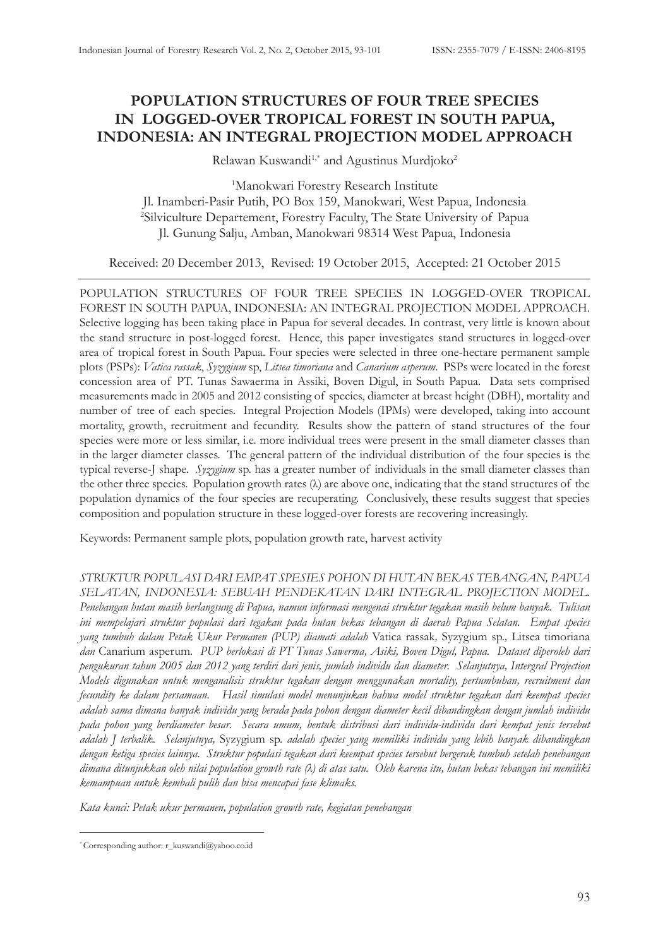# **POPULATION STRUCTURES OF FOUR TREE SPECIES IN LOGGED-OVER TROPICAL FOREST IN SOUTH PAPUA, INDONESIA: AN INTEGRAL PROJECTION MODEL APPROACH**

Relawan Kuswandi<sup>1,\*</sup> and Agustinus Murdjoko<sup>2</sup>

1 Manokwari Forestry Research Institute Jl. Inamberi-Pasir Putih, PO Box 159, Manokwari, West Papua, Indonesia 2 Silviculture Departement, Forestry Faculty, The State University of Papua Jl. Gunung Salju, Amban, Manokwari 98314 West Papua, Indonesia

Received: 20 December 2013, Revised: 19 October 2015, Accepted: 21 October 2015

POPULATION STRUCTURES OF FOUR TREE SPECIES IN LOGGED-OVER TROPICAL FOREST IN SOUTH PAPUA, INDONESIA: AN INTEGRAL PROJECTION MODEL APPROACH. Selective logging has been taking place in Papua for several decades. In contrast, very little is known about the stand structure in post-logged forest. Hence, this paper investigates stand structures in logged-over area of tropical forest in South Papua. Four species were selected in three one-hectare permanent sample plots (PSPs): *Vatica rassak*, *Syzygium* sp, *Litsea timoriana* and *Canarium asperum*. PSPs were located in the forest concession area of PT. Tunas Sawaerma in Assiki, Boven Digul, in South Papua. Data sets comprised measurements made in 2005 and 2012 consisting of species, diameter at breast height (DBH), mortality and number of tree of each species. Integral Projection Models (IPMs) were developed, taking into account mortality, growth, recruitment and fecundity. Results show the pattern of stand structures of the four species were more or less similar, i.e. more individual trees were present in the small diameter classes than in the larger diameter classes. The general pattern of the individual distribution of the four species is the typical reverse-J shape. *Syzygium* sp. has a greater number of individuals in the small diameter classes than the other three species. Population growth rates (λ) are above one, indicating that the stand structures of the population dynamics of the four species are recuperating. Conclusively, these results suggest that species composition and population structure in these logged-over forests are recovering increasingly.

Keywords: Permanent sample plots, population growth rate, harvest activity

*STRUKTUR POPULASI DARI EMPAT SPESIES POHON DI HUTAN BEKAS TEBANGAN, PAPUA SELATAN, INDONESIA: SEBUAH PENDEKATAN DARI INTEGRAL PROJECTION MODEL. Penebangan hutan masih berlangsung di Papua, namun informasi mengenai struktur tegakan masih belum banyak. Tulisan ini mempelajari struktur populasi dari tegakan pada hutan bekas tebangan di daerah Papua Selatan. Empat species yang tumbuh dalam Petak Ukur Permanen (PUP) diamati adalah* Vatica rassak*,* Syzygium sp.*,* Litsea timoriana *dan* Canarium asperum*. PUP berlokasi di PT Tunas Sawerma, Asiki, Boven Digul, Papua. Dataset diperoleh dari pengukuran tahun 2005 dan 2012 yang terdiri dari jenis, jumlah individu dan diameter. Selanjutnya, Intergral Projection Models digunakan untuk menganalisis struktur tegakan dengan menggunakan mortality, pertumbuhan, recruitment dan fecundity ke dalam persamaan. Hasil simulasi model menunjukan bahwa model struktur tegakan dari keempat species adalah sama dimana banyak individu yang berada pada pohon dengan diameter kecil dibandingkan dengan jumlah individu pada pohon yang berdiameter besar. Secara umum, bentuk distribusi dari individu-individu dari kempat jenis tersebut adalah J terbalik. Selanjutnya,* Syzygium sp. *adalah species yang memiliki individu yang lebih banyak dibandingkan dengan ketiga species lainnya. Struktur populasi tegakan dari keempat species tersebut bergerak tumbuh setelah penebangan dimana ditunjukkan oleh nilai population growth rate (λ) di atas satu. Oleh karena itu, hutan bekas tebangan ini memiliki kemampuan untuk kembali pulih dan bisa mencapai fase klimaks.*

*Kata kunci: Petak ukur permanen, population growth rate, kegiatan penebangan* 

<sup>\*</sup> Corresponding author: r\_kuswandi@yahoo.co.id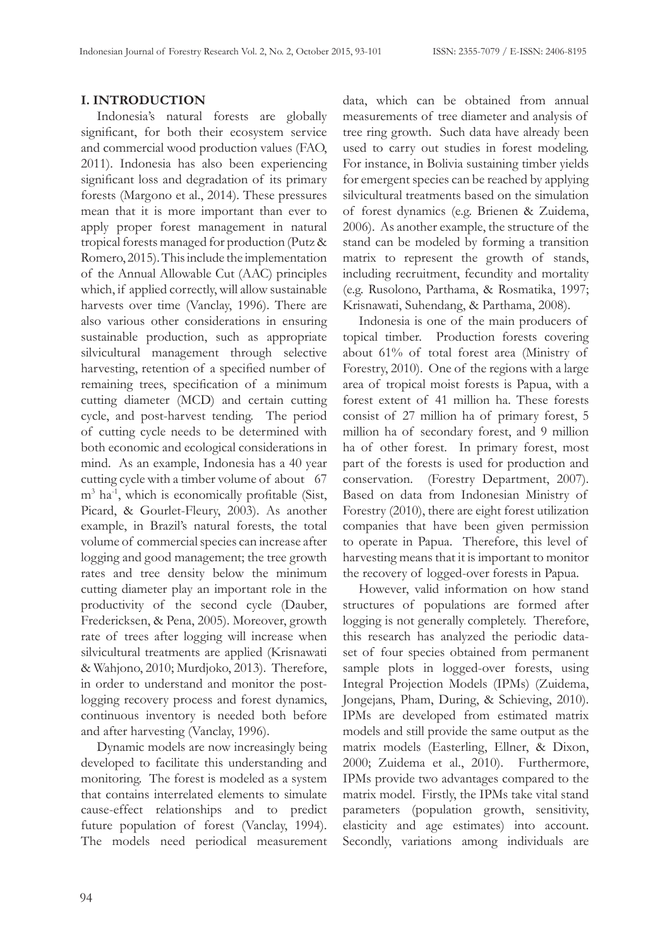## **I. INTRODUCTION**

Indonesia's natural forests are globally significant, for both their ecosystem service and commercial wood production values (FAO, 2011). Indonesia has also been experiencing significant loss and degradation of its primary forests (Margono et al., 2014). These pressures mean that it is more important than ever to apply proper forest management in natural tropical forests managed for production (Putz & Romero, 2015). This include the implementation of the Annual Allowable Cut (AAC) principles which, if applied correctly, will allow sustainable harvests over time (Vanclay, 1996). There are also various other considerations in ensuring sustainable production, such as appropriate silvicultural management through selective harvesting, retention of a specified number of remaining trees, specification of a minimum cutting diameter (MCD) and certain cutting cycle, and post-harvest tending. The period of cutting cycle needs to be determined with both economic and ecological considerations in mind. As an example, Indonesia has a 40 year cutting cycle with a timber volume of about 67 m<sup>3</sup> ha-1, which is economically profitable (Sist, Picard, & Gourlet-Fleury, 2003). As another example, in Brazil's natural forests, the total volume of commercial species can increase after logging and good management; the tree growth rates and tree density below the minimum cutting diameter play an important role in the productivity of the second cycle (Dauber, Fredericksen, & Pena, 2005). Moreover, growth rate of trees after logging will increase when silvicultural treatments are applied (Krisnawati & Wahjono, 2010; Murdjoko, 2013). Therefore, in order to understand and monitor the postlogging recovery process and forest dynamics, continuous inventory is needed both before and after harvesting (Vanclay, 1996).

Dynamic models are now increasingly being developed to facilitate this understanding and monitoring. The forest is modeled as a system that contains interrelated elements to simulate cause-effect relationships and to predict future population of forest (Vanclay, 1994). The models need periodical measurement data, which can be obtained from annual measurements of tree diameter and analysis of tree ring growth. Such data have already been used to carry out studies in forest modeling. For instance, in Bolivia sustaining timber yields for emergent species can be reached by applying silvicultural treatments based on the simulation of forest dynamics (e.g. Brienen & Zuidema, 2006). As another example, the structure of the stand can be modeled by forming a transition matrix to represent the growth of stands, including recruitment, fecundity and mortality (e.g. Rusolono, Parthama, & Rosmatika, 1997; Krisnawati, Suhendang, & Parthama, 2008).

Indonesia is one of the main producers of topical timber. Production forests covering about 61% of total forest area (Ministry of Forestry, 2010). One of the regions with a large area of tropical moist forests is Papua, with a forest extent of 41 million ha. These forests consist of 27 million ha of primary forest, 5 million ha of secondary forest, and 9 million ha of other forest. In primary forest, most part of the forests is used for production and conservation. (Forestry Department, 2007). Based on data from Indonesian Ministry of Forestry (2010), there are eight forest utilization companies that have been given permission to operate in Papua. Therefore, this level of harvesting means that it is important to monitor the recovery of logged-over forests in Papua.

However, valid information on how stand structures of populations are formed after logging is not generally completely. Therefore, this research has analyzed the periodic dataset of four species obtained from permanent sample plots in logged-over forests, using Integral Projection Models (IPMs) (Zuidema, Jongejans, Pham, During, & Schieving, 2010). IPMs are developed from estimated matrix models and still provide the same output as the matrix models (Easterling, Ellner, & Dixon, 2000; Zuidema et al., 2010). Furthermore, IPMs provide two advantages compared to the matrix model. Firstly, the IPMs take vital stand parameters (population growth, sensitivity, elasticity and age estimates) into account. Secondly, variations among individuals are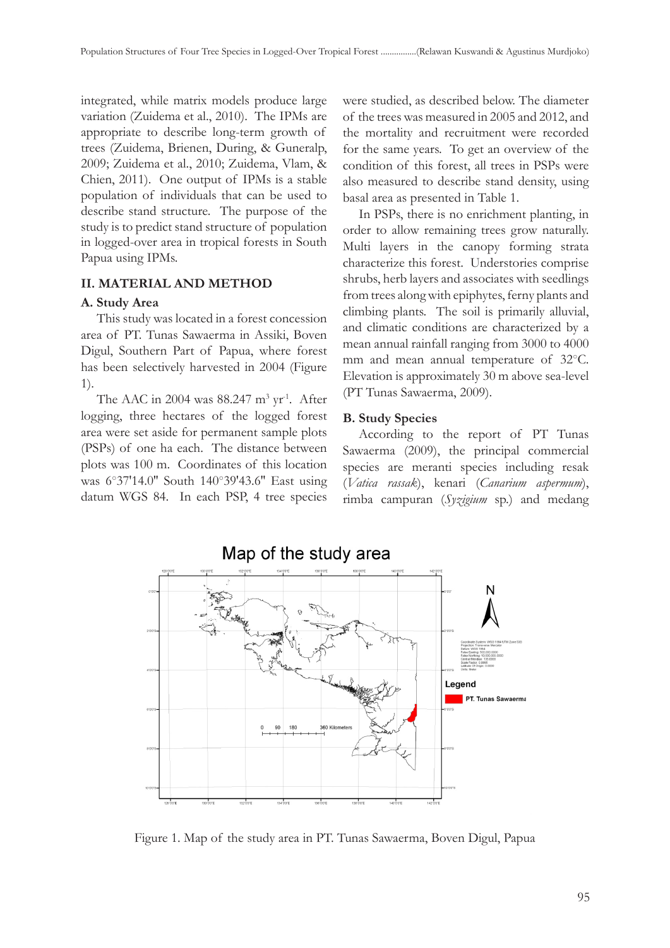integrated, while matrix models produce large variation (Zuidema et al., 2010). The IPMs are appropriate to describe long-term growth of trees (Zuidema, Brienen, During, & Guneralp, 2009; Zuidema et al., 2010; Zuidema, Vlam, & Chien, 2011). One output of IPMs is a stable population of individuals that can be used to describe stand structure. The purpose of the study is to predict stand structure of population in logged-over area in tropical forests in South Papua using IPMs.

## **II. MATERIAL AND METHOD**

## **A. Study Area**

This study was located in a forest concession area of PT. Tunas Sawaerma in Assiki, Boven Digul, Southern Part of Papua, where forest has been selectively harvested in 2004 (Figure 1).

The AAC in 2004 was  $88.247 \text{ m}^3 \text{ yr}^1$ . After logging, three hectares of the logged forest area were set aside for permanent sample plots (PSPs) of one ha each. The distance between plots was 100 m. Coordinates of this location was 6○37'14.0'' South 140○39'43.6'' East using datum WGS 84. In each PSP, 4 tree species

were studied, as described below. The diameter of the trees was measured in 2005 and 2012, and the mortality and recruitment were recorded for the same years. To get an overview of the condition of this forest, all trees in PSPs were also measured to describe stand density, using basal area as presented in Table 1.

In PSPs, there is no enrichment planting, in order to allow remaining trees grow naturally. Multi layers in the canopy forming strata characterize this forest. Understories comprise shrubs, herb layers and associates with seedlings from trees along with epiphytes, ferny plants and climbing plants. The soil is primarily alluvial, and climatic conditions are characterized by a mean annual rainfall ranging from 3000 to 4000 mm and mean annual temperature of 32○C. Elevation is approximately 30 m above sea-level (PT Tunas Sawaerma, 2009).

# **B. Study Species**

According to the report of PT Tunas Sawaerma (2009), the principal commercial species are meranti species including resak (*Vatica rassak*), kenari (*Canarium aspermum*), rimba campuran (*Syzigium* sp.) and medang



Figure 1. Map of the study area in PT. Tunas Sawaerma, Boven Digul, Papua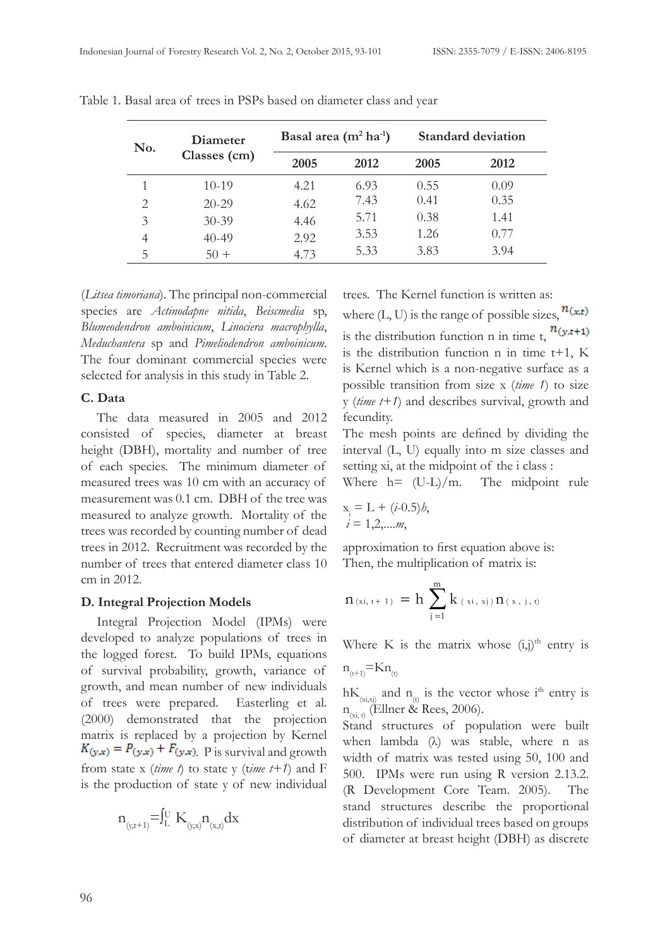| No. | Diameter<br>Classes (cm) | Basal area $(m^2 ha^1)$ |      | <b>Standard deviation</b> |      |
|-----|--------------------------|-------------------------|------|---------------------------|------|
|     |                          | 2005                    | 2012 | 2005                      | 2012 |
|     | $10-19$                  | 4.21                    | 6.93 | 0.55                      | 0.09 |
| 2   | $20 - 29$                | 4.62                    | 7.43 | 0.41                      | 0.35 |
| 3   | $30 - 39$                | 4.46                    | 5.71 | 0.38                      | 1.41 |
| 4   | $40 - 49$                | 2.92                    | 3.53 | 1.26                      | 0.77 |
| b.  | $5() +$                  | 4.73                    | 5.33 | 3.83                      | 3.94 |

Table 1. Basal area of trees in PSPs based on diameter class and year

(*Litsea timoriana*). The principal non-commercial species are *Actinodapne nitida*, *Beiscmedia* sp, *Blumeodendron amboinicum*, *Linociera macrophylla*, *Meduchantera* sp and *Pimeliodendron amboinicum*. The four dominant commercial species were selected for analysis in this study in Table 2.

#### **C. Data**

The data measured in 2005 and 2012 consisted of species, diameter at breast height (DBH), mortality and number of tree of each species. The minimum diameter of measured trees was 10 cm with an accuracy of measurement was 0.1 cm. DBH of the tree was measured to analyze growth. Mortality of the trees was recorded by counting number of dead trees in 2012. Recruitment was recorded by the number of trees that entered diameter class 10 cm in 2012.

#### **D. Integral Projection Models**

Integral Projection Model (IPMs) were developed to analyze populations of trees in the logged forest. To build IPMs, equations of survival probability, growth, variance of growth, and mean number of new individuals of trees were prepared. Easterling et al. (2000) demonstrated that the projection matrix is replaced by a projection by Kernel  $K_{(y,x)} = P_{(y,x)} + F_{(y,x)}$  P is survival and growth from state x (*time t*) to state y (t*ime t+1*) and F is the production of state y of new individual

$$
n_{_{(y,t+1)}} = \int_{L}^{U} K_{_{(y,x)}} n_{_{(x,t)}} dx
$$

trees. The Kernel function is written as:

where  $(L, U)$  is the range of possible sizes,  $n(x,t)$ is the distribution function n in time t,  $n(y,t+1)$ is the distribution function n in time t+1, K is Kernel which is a non-negative surface as a possible transition from size x (*time 1*) to size y (*time t+1*) and describes survival, growth and fecundity.

The mesh points are defined by dividing the interval (L, U) equally into m size classes and setting xi, at the midpoint of the i class :

Where  $h = (U-L)/m$ . The midpoint rule

$$
x_i = L + (i-0.5)h,\n i = 1,2,...m,
$$

approximation to first equation above is: Then, the multiplication of matrix is:

$$
n_{(xi, t+1)} = h \sum_{j=1}^{m} k_{(xi, xj)} n_{(x, j, t)}
$$

Where K is the matrix whose  $(i,j)$ <sup>th</sup> entry is

$$
n_{(t+1)} = Kn_{(t)}
$$

 $hK_{(x_i,x_i)}$  and  $n_{(t)}$  is the vector whose i<sup>th</sup> entry is  $n_{\text{(xi, t)}}$  (Ellner & Rees, 2006).

Stand structures of population were built when lambda (λ) was stable, where n as width of matrix was tested using 50, 100 and 500. IPMs were run using R version 2.13.2. (R Development Core Team. 2005). The stand structures describe the proportional distribution of individual trees based on groups of diameter at breast height (DBH) as discrete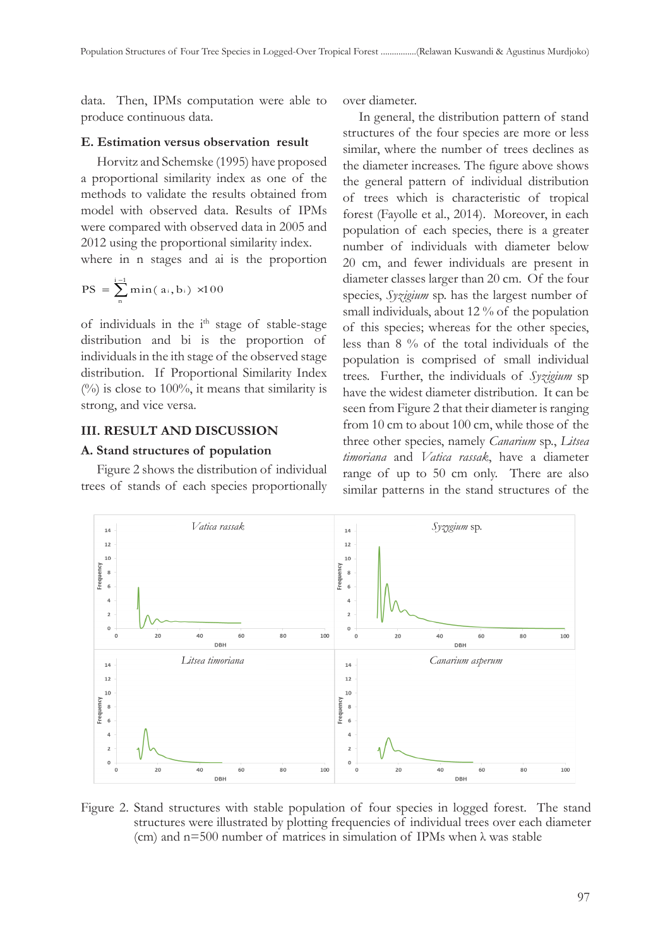data. Then, IPMs computation were able to produce continuous data.

#### **E. Estimation versus observation result**

Horvitz and Schemske (1995) have proposed a proportional similarity index as one of the methods to validate the results obtained from model with observed data. Results of IPMs were compared with observed data in 2005 and 2012 using the proportional similarity index.

where in n stages and ai is the proportion

$$
PS = \sum_{n}^{i-1} \min(a_i, b_i) \times 100
$$

of individuals in the i<sup>th</sup> stage of stable-stage distribution and bi is the proportion of individuals in the ith stage of the observed stage distribution. If Proportional Similarity Index  $(%)$  is close to 100%, it means that similarity is strong, and vice versa.

#### **III. RESULT AND DISCUSSION**

#### **A. Stand structures of population**

Figure 2 shows the distribution of individual trees of stands of each species proportionally over diameter.

In general, the distribution pattern of stand structures of the four species are more or less similar, where the number of trees declines as the diameter increases. The figure above shows the general pattern of individual distribution of trees which is characteristic of tropical forest (Fayolle et al., 2014). Moreover, in each population of each species, there is a greater number of individuals with diameter below 20 cm, and fewer individuals are present in diameter classes larger than 20 cm. Of the four species, *Syzigium* sp. has the largest number of small individuals, about 12 % of the population of this species; whereas for the other species, less than 8 % of the total individuals of the population is comprised of small individual trees. Further, the individuals of *Syzigium* sp have the widest diameter distribution. It can be seen from Figure 2 that their diameter is ranging from 10 cm to about 100 cm, while those of the three other species, namely *Canarium* sp., *Litsea timoriana* and *Vatica rassak*, have a diameter range of up to 50 cm only. There are also similar patterns in the stand structures of the



Figure 2. Stand structures with stable population of four species in logged forest. The stand structures were illustrated by plotting frequencies of individual trees over each diameter (cm) and  $n=500$  number of matrices in simulation of IPMs when  $\lambda$  was stable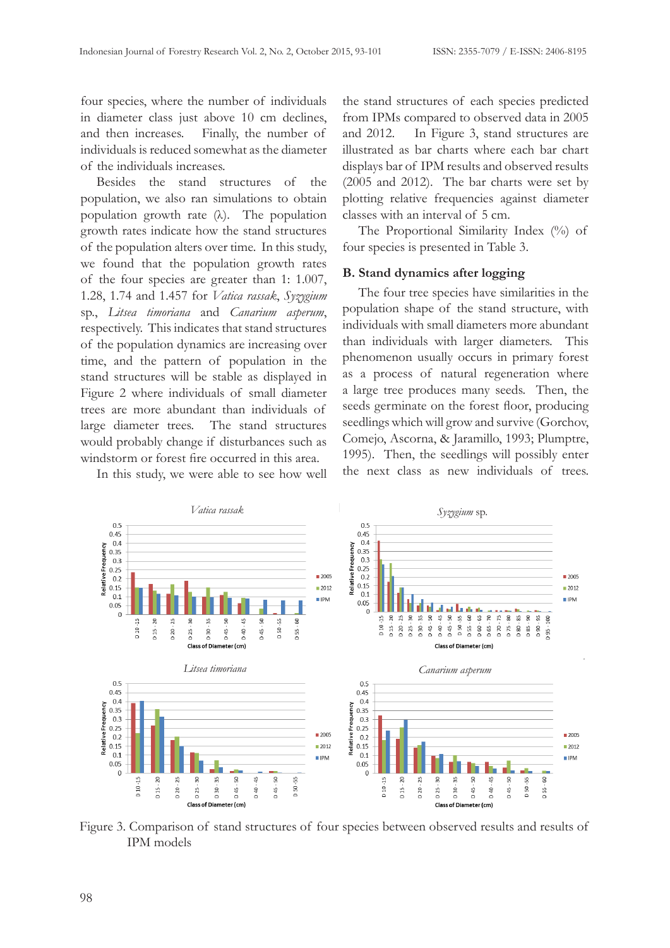four species, where the number of individuals in diameter class just above 10 cm declines, and then increases. Finally, the number of individuals is reduced somewhat as the diameter of the individuals increases.

Besides the stand structures of the population, we also ran simulations to obtain population growth rate (λ). The population growth rates indicate how the stand structures of the population alters over time. In this study, we found that the population growth rates of the four species are greater than 1: 1.007, 1.28, 1.74 and 1.457 for *Vatica rassak*, *Syzygium*  sp., *Litsea timoriana* and *Canarium asperum*, respectively. This indicates that stand structures of the population dynamics are increasing over time, and the pattern of population in the stand structures will be stable as displayed in Figure 2 where individuals of small diameter trees are more abundant than individuals of large diameter trees. The stand structures would probably change if disturbances such as windstorm or forest fire occurred in this area.

In this study, we were able to see how well

the stand structures of each species predicted from IPMs compared to observed data in 2005 and 2012. In Figure 3, stand structures are illustrated as bar charts where each bar chart displays bar of IPM results and observed results (2005 and 2012). The bar charts were set by plotting relative frequencies against diameter classes with an interval of 5 cm.

The Proportional Similarity Index (%) of four species is presented in Table 3.

#### **B. Stand dynamics after logging**

The four tree species have similarities in the population shape of the stand structure, with individuals with small diameters more abundant than individuals with larger diameters. This phenomenon usually occurs in primary forest as a process of natural regeneration where a large tree produces many seeds. Then, the seeds germinate on the forest floor, producing seedlings which will grow and survive (Gorchov, Comejo, Ascorna, & Jaramillo, 1993; Plumptre, 1995). Then, the seedlings will possibly enter the next class as new individuals of trees.



Figure 3. Comparison of stand structures of four species between observed results and results of IPM models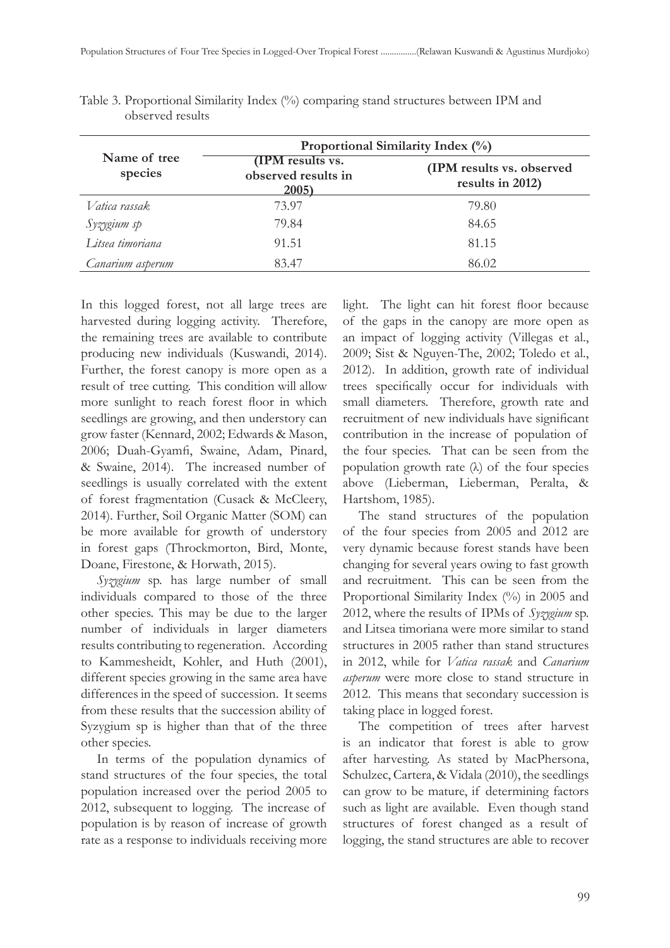|                         | Proportional Similarity Index (%)                |                                               |  |  |
|-------------------------|--------------------------------------------------|-----------------------------------------------|--|--|
| Name of tree<br>species | (IPM results vs.<br>observed results in<br>2005) | (IPM results vs. observed<br>results in 2012) |  |  |
| Vatica rassak           | 73.97                                            | 79.80                                         |  |  |
| Syzygium sp             | 79.84                                            | 84.65                                         |  |  |
| Litsea timoriana        | 91.51                                            | 81.15                                         |  |  |
| Canarium asperum        | 83.47                                            | 86.02                                         |  |  |

Table 3. Proportional Similarity Index (%) comparing stand structures between IPM and observed results

In this logged forest, not all large trees are harvested during logging activity. Therefore, the remaining trees are available to contribute producing new individuals (Kuswandi, 2014). Further, the forest canopy is more open as a result of tree cutting. This condition will allow more sunlight to reach forest floor in which seedlings are growing, and then understory can grow faster (Kennard, 2002; Edwards & Mason, 2006; Duah-Gyamfi, Swaine, Adam, Pinard, & Swaine, 2014). The increased number of seedlings is usually correlated with the extent of forest fragmentation (Cusack & McCleery, 2014). Further, Soil Organic Matter (SOM) can be more available for growth of understory in forest gaps (Throckmorton, Bird, Monte, Doane, Firestone, & Horwath, 2015).

*Syzygium* sp. has large number of small individuals compared to those of the three other species. This may be due to the larger number of individuals in larger diameters results contributing to regeneration. According to Kammesheidt, Kohler, and Huth (2001), different species growing in the same area have differences in the speed of succession. It seems from these results that the succession ability of Syzygium sp is higher than that of the three other species.

In terms of the population dynamics of stand structures of the four species, the total population increased over the period 2005 to 2012, subsequent to logging. The increase of population is by reason of increase of growth rate as a response to individuals receiving more light. The light can hit forest floor because of the gaps in the canopy are more open as an impact of logging activity (Villegas et al., 2009; Sist & Nguyen-The, 2002; Toledo et al., 2012). In addition, growth rate of individual trees specifically occur for individuals with small diameters. Therefore, growth rate and recruitment of new individuals have significant contribution in the increase of population of the four species. That can be seen from the population growth rate  $(\lambda)$  of the four species above (Lieberman, Lieberman, Peralta, & Hartshom, 1985).

The stand structures of the population of the four species from 2005 and 2012 are very dynamic because forest stands have been changing for several years owing to fast growth and recruitment. This can be seen from the Proportional Similarity Index (%) in 2005 and 2012, where the results of IPMs of *Syzygium* sp. and Litsea timoriana were more similar to stand structures in 2005 rather than stand structures in 2012, while for *Vatica rassak* and *Canarium asperum* were more close to stand structure in 2012. This means that secondary succession is taking place in logged forest.

The competition of trees after harvest is an indicator that forest is able to grow after harvesting. As stated by MacPhersona, Schulzec, Cartera, & Vidala (2010), the seedlings can grow to be mature, if determining factors such as light are available. Even though stand structures of forest changed as a result of logging, the stand structures are able to recover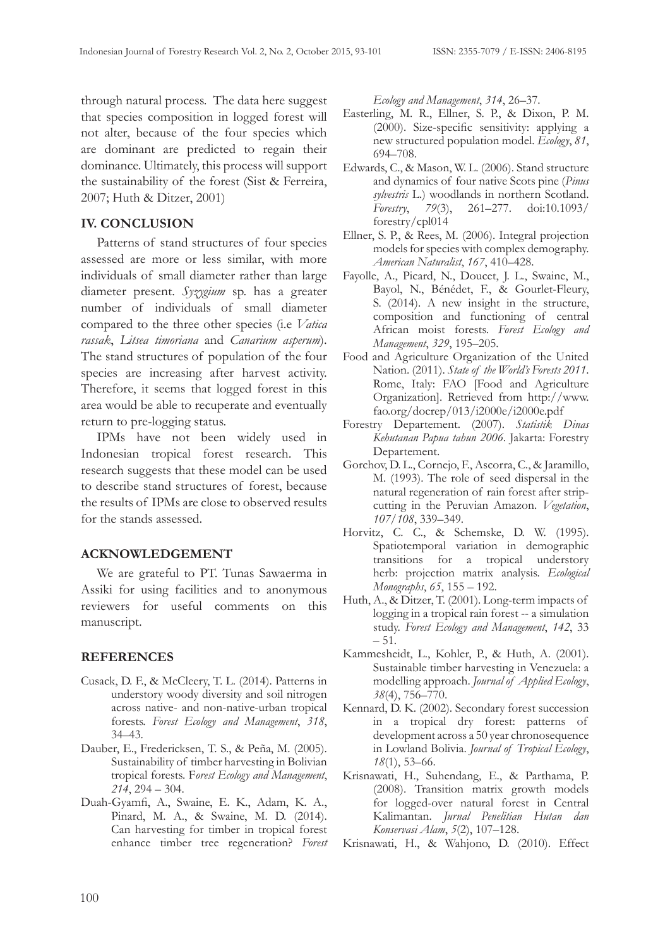through natural process. The data here suggest that species composition in logged forest will not alter, because of the four species which are dominant are predicted to regain their dominance. Ultimately, this process will support the sustainability of the forest (Sist & Ferreira, 2007; Huth & Ditzer, 2001)

# **IV. CONCLUSION**

Patterns of stand structures of four species assessed are more or less similar, with more individuals of small diameter rather than large diameter present. *Syzygium* sp. has a greater number of individuals of small diameter compared to the three other species (i.e *Vatica rassak*, *Litsea timoriana* and *Canarium asperum*). The stand structures of population of the four species are increasing after harvest activity. Therefore, it seems that logged forest in this area would be able to recuperate and eventually return to pre-logging status.

IPMs have not been widely used in Indonesian tropical forest research. This research suggests that these model can be used to describe stand structures of forest, because the results of IPMs are close to observed results for the stands assessed.

## **ACKNOWLEDGEMENT**

We are grateful to PT. Tunas Sawaerma in Assiki for using facilities and to anonymous reviewers for useful comments on this manuscript.

# **REFERENCES**

- Cusack, D. F., & McCleery, T. L. (2014). Patterns in understory woody diversity and soil nitrogen across native- and non-native-urban tropical forests. *Forest Ecology and Management*, *318*, 34–43.
- Dauber, E., Fredericksen, T. S., & Peña, M. (2005). Sustainability of timber harvesting in Bolivian tropical forests. F*orest Ecology and Management*, *214*, 294 – 304.
- Duah-Gyamfi, A., Swaine, E. K., Adam, K. A., Pinard, M. A., & Swaine, M. D. (2014). Can harvesting for timber in tropical forest enhance timber tree regeneration? *Forest*

*Ecology and Management*, *314*, 26–37.

- Easterling, M. R., Ellner, S. P., & Dixon, P. M. (2000). Size-specific sensitivity: applying a new structured population model. *Ecology*, *81*, 694–708.
- Edwards, C., & Mason, W. L. (2006). Stand structure and dynamics of four native Scots pine (*Pinus sylvestris* L.) woodlands in northern Scotland. *Forestry*, *79*(3), 261–277. doi:10.1093/ forestry/cpl014
- Ellner, S. P., & Rees, M. (2006). Integral projection models for species with complex demography. *American Naturalist*, *167*, 410–428.
- Fayolle, A., Picard, N., Doucet, J. L., Swaine, M., Bayol, N., Bénédet, F., & Gourlet-Fleury, S. (2014). A new insight in the structure, composition and functioning of central African moist forests. *Forest Ecology and Management*, *329*, 195–205.
- Food and Agriculture Organization of the United Nation. (2011). *State of the World's Forests 2011*. Rome, Italy: FAO [Food and Agriculture Organization]. Retrieved from http://www. fao.org/docrep/013/i2000e/i2000e.pdf
- Forestry Departement. (2007). *Statistik Dinas Kehutanan Papua tahun 2006*. Jakarta: Forestry Departement.
- Gorchov, D. L., Cornejo, F., Ascorra, C., & Jaramillo, M. (1993). The role of seed dispersal in the natural regeneration of rain forest after stripcutting in the Peruvian Amazon. *Vegetation*, *107/108*, 339–349.
- Horvitz, C. C., & Schemske, D. W. (1995). Spatiotemporal variation in demographic transitions for a tropical understory herb: projection matrix analysis. *Ecological Monographs*, *65*, 155 – 192.
- Huth, A., & Ditzer, T. (2001). Long-term impacts of logging in a tropical rain forest -- a simulation study. *Forest Ecology and Management*, *142*, 33 – 51.
- Kammesheidt, L., Kohler, P., & Huth, A. (2001). Sustainable timber harvesting in Venezuela: a modelling approach. *Journal of Applied Ecology*, *38*(4), 756–770.
- Kennard, D. K. (2002). Secondary forest succession in a tropical dry forest: patterns of development across a 50 year chronosequence in Lowland Bolivia. *Journal of Tropical Ecology*, *18*(1), 53–66.
- Krisnawati, H., Suhendang, E., & Parthama, P. (2008). Transition matrix growth models for logged-over natural forest in Central Kalimantan. *Jurnal Penelitian Hutan dan Konservasi Alam*, *5*(2), 107–128.
- Krisnawati, H., & Wahjono, D. (2010). Effect